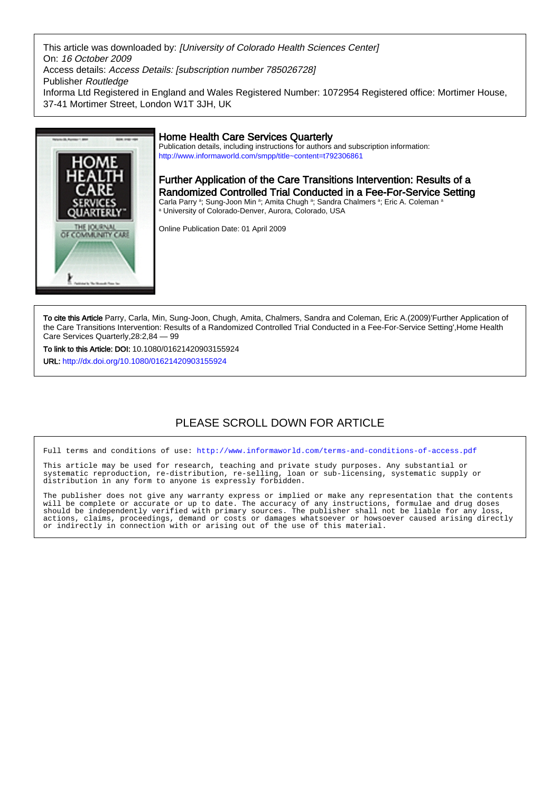This article was downloaded by: [University of Colorado Health Sciences Center] On: 16 October 2009 Access details: Access Details: [subscription number 785026728] Publisher Routledge Informa Ltd Registered in England and Wales Registered Number: 1072954 Registered office: Mortimer House, 37-41 Mortimer Street, London W1T 3JH, UK



# Home Health Care Services Quarterly

Publication details, including instructions for authors and subscription information: <http://www.informaworld.com/smpp/title~content=t792306861>

Further Application of the Care Transitions Intervention: Results of a Randomized Controlled Trial Conducted in a Fee-For-Service Setting Carla Parry <sup>a</sup>; Sung-Joon Min <sup>a</sup>; Amita Chugh <sup>a</sup>; Sandra Chalmers <sup>a</sup>; Eric A. Coleman <sup>a</sup> a University of Colorado-Denver, Aurora, Colorado, USA

Online Publication Date: 01 April 2009

To cite this Article Parry, Carla, Min, Sung-Joon, Chugh, Amita, Chalmers, Sandra and Coleman, Eric A.(2009)'Further Application of the Care Transitions Intervention: Results of a Randomized Controlled Trial Conducted in a Fee-For-Service Setting',Home Health Care Services Quarterly,28:2,84 — 99

To link to this Article: DOI: 10.1080/01621420903155924

URL: <http://dx.doi.org/10.1080/01621420903155924>

# PI FASE SCROLL DOWN FOR ARTICLE

Full terms and conditions of use:<http://www.informaworld.com/terms-and-conditions-of-access.pdf>

This article may be used for research, teaching and private study purposes. Any substantial or systematic reproduction, re-distribution, re-selling, loan or sub-licensing, systematic supply or systematic reproduction, re-distribution, re-selling, loan distribution in any form to anyone is expressly forbidden.

The publisher does not give any warranty express or implied or make any representation that the contents will be complete or accurate or up to date. The accuracy of any instructions, formulae and drug doses should be independently verified with primary sources. The publisher shall not be liable for any loss, actions, claims, proceedings, demand or costs or damages whatsoever or howsoever caused arising directly or indirectly in connection with or arising out of the use of this material.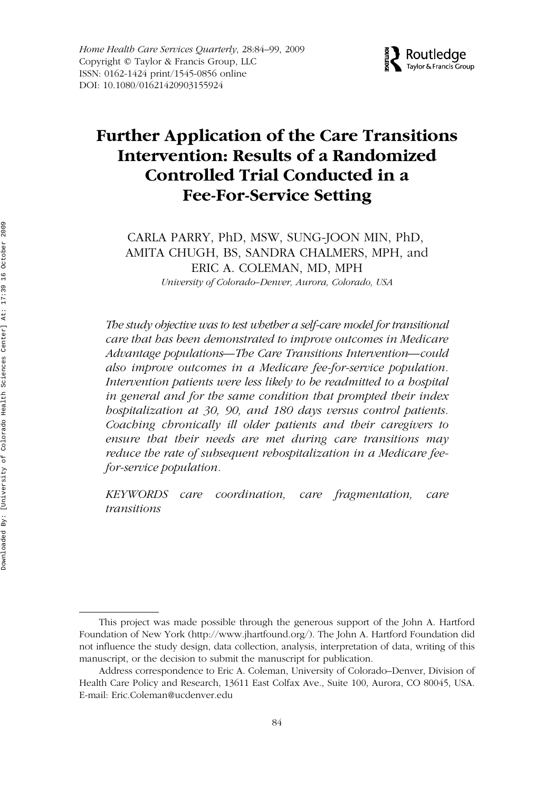

# WHHC 0162-1424 1545-0856Home Health Care Services Quarterly, Vol. 28, No. 2-3, Sep 2009: pp. 0–0 Quarterly **Further Application of the Care Transitions Intervention: Results of a Randomized Controlled Trial Conducted in a Fee-For-Service Setting**

CARLA PARRY, PhD, MSW, SUNG-JOON MIN, PhD, AMITA CHUGH, BS, SANDRA CHALMERS, MPH, and ERIC A. COLEMAN, MD, MPH *University of Colorado–Denver, Aurora, Colorado, USA*

*The study objective was to test whether a self-care model for transitional care that has been demonstrated to improve outcomes in Medicare Advantage populations—The Care Transitions Intervention—could also improve outcomes in a Medicare fee-for-service population. Intervention patients were less likely to be readmitted to a hospital in general and for the same condition that prompted their index hospitalization at 30, 90, and 180 days versus control patients. Coaching chronically ill older patients and their caregivers to ensure that their needs are met during care transitions may reduce the rate of subsequent rehospitalization in a Medicare feefor-service population.*

*KEYWORDS care coordination, care fragmentation, care transitions*

This project was made possible through the generous support of the John A. Hartford Foundation of New York (http://www.jhartfound.org/). The John A. Hartford Foundation did not influence the study design, data collection, analysis, interpretation of data, writing of this manuscript, or the decision to submit the manuscript for publication.

Address correspondence to Eric A. Coleman, University of Colorado–Denver, Division of Health Care Policy and Research, 13611 East Colfax Ave., Suite 100, Aurora, CO 80045, USA. E-mail: Eric.Coleman@ucdenver.edu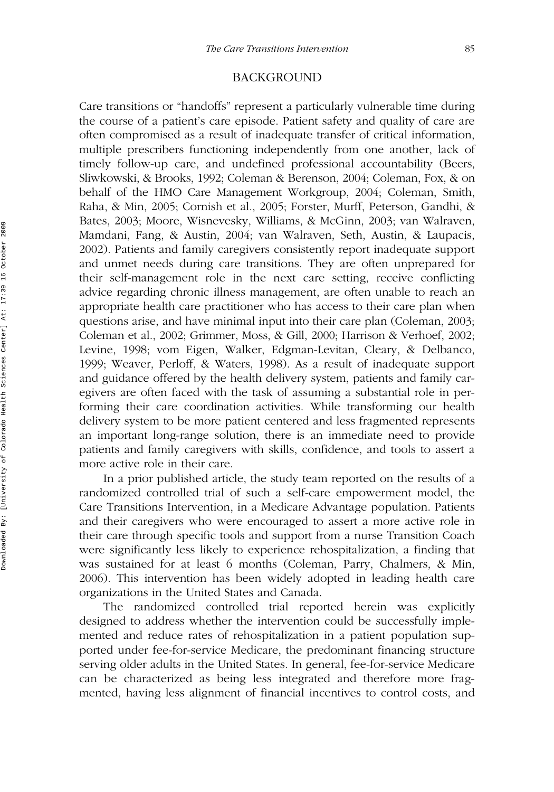## BACKGROUND

Care transitions or "handoffs" represent a particularly vulnerable time during the course of a patient's care episode. Patient safety and quality of care are often compromised as a result of inadequate transfer of critical information, multiple prescribers functioning independently from one another, lack of timely follow-up care, and undefined professional accountability (Beers, Sliwkowski, & Brooks, 1992; Coleman & Berenson, 2004; Coleman, Fox, & on behalf of the HMO Care Management Workgroup, 2004; Coleman, Smith, Raha, & Min, 2005; Cornish et al., 2005; Forster, Murff, Peterson, Gandhi, & Bates, 2003; Moore, Wisnevesky, Williams, & McGinn, 2003; van Walraven, Mamdani, Fang, & Austin, 2004; van Walraven, Seth, Austin, & Laupacis, 2002). Patients and family caregivers consistently report inadequate support and unmet needs during care transitions. They are often unprepared for their self-management role in the next care setting, receive conflicting advice regarding chronic illness management, are often unable to reach an appropriate health care practitioner who has access to their care plan when questions arise, and have minimal input into their care plan (Coleman, 2003; Coleman et al., 2002; Grimmer, Moss, & Gill, 2000; Harrison & Verhoef, 2002; Levine, 1998; vom Eigen, Walker, Edgman-Levitan, Cleary, & Delbanco, 1999; Weaver, Perloff, & Waters, 1998). As a result of inadequate support and guidance offered by the health delivery system, patients and family caregivers are often faced with the task of assuming a substantial role in performing their care coordination activities. While transforming our health delivery system to be more patient centered and less fragmented represents an important long-range solution, there is an immediate need to provide patients and family caregivers with skills, confidence, and tools to assert a more active role in their care.

In a prior published article, the study team reported on the results of a randomized controlled trial of such a self-care empowerment model, the Care Transitions Intervention, in a Medicare Advantage population. Patients and their caregivers who were encouraged to assert a more active role in their care through specific tools and support from a nurse Transition Coach were significantly less likely to experience rehospitalization, a finding that was sustained for at least 6 months (Coleman, Parry, Chalmers, & Min, 2006). This intervention has been widely adopted in leading health care organizations in the United States and Canada.

The randomized controlled trial reported herein was explicitly designed to address whether the intervention could be successfully implemented and reduce rates of rehospitalization in a patient population supported under fee-for-service Medicare, the predominant financing structure serving older adults in the United States. In general, fee-for-service Medicare can be characterized as being less integrated and therefore more fragmented, having less alignment of financial incentives to control costs, and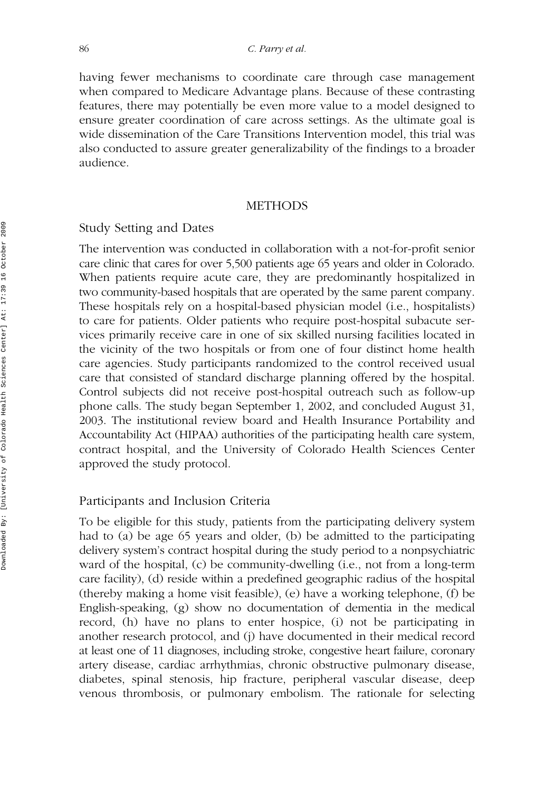having fewer mechanisms to coordinate care through case management when compared to Medicare Advantage plans. Because of these contrasting features, there may potentially be even more value to a model designed to ensure greater coordination of care across settings. As the ultimate goal is wide dissemination of the Care Transitions Intervention model, this trial was also conducted to assure greater generalizability of the findings to a broader audience.

#### **METHODS**

#### Study Setting and Dates

The intervention was conducted in collaboration with a not-for-profit senior care clinic that cares for over 5,500 patients age 65 years and older in Colorado. When patients require acute care, they are predominantly hospitalized in two community-based hospitals that are operated by the same parent company. These hospitals rely on a hospital-based physician model (i.e., hospitalists) to care for patients. Older patients who require post-hospital subacute services primarily receive care in one of six skilled nursing facilities located in the vicinity of the two hospitals or from one of four distinct home health care agencies. Study participants randomized to the control received usual care that consisted of standard discharge planning offered by the hospital. Control subjects did not receive post-hospital outreach such as follow-up phone calls. The study began September 1, 2002, and concluded August 31, 2003. The institutional review board and Health Insurance Portability and Accountability Act (HIPAA) authorities of the participating health care system, contract hospital, and the University of Colorado Health Sciences Center approved the study protocol.

#### Participants and Inclusion Criteria

To be eligible for this study, patients from the participating delivery system had to (a) be age 65 years and older, (b) be admitted to the participating delivery system's contract hospital during the study period to a nonpsychiatric ward of the hospital, (c) be community-dwelling (i.e., not from a long-term care facility), (d) reside within a predefined geographic radius of the hospital (thereby making a home visit feasible), (e) have a working telephone, (f) be English-speaking, (g) show no documentation of dementia in the medical record, (h) have no plans to enter hospice, (i) not be participating in another research protocol, and (j) have documented in their medical record at least one of 11 diagnoses, including stroke, congestive heart failure, coronary artery disease, cardiac arrhythmias, chronic obstructive pulmonary disease, diabetes, spinal stenosis, hip fracture, peripheral vascular disease, deep venous thrombosis, or pulmonary embolism. The rationale for selecting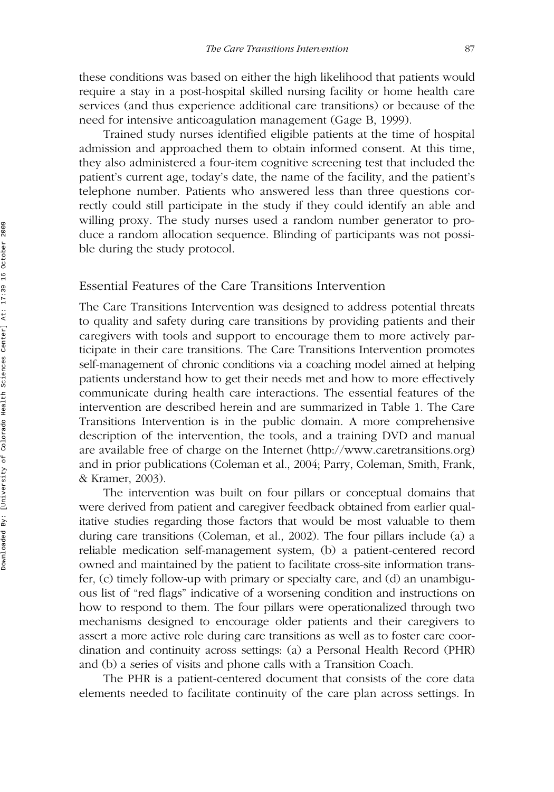these conditions was based on either the high likelihood that patients would require a stay in a post-hospital skilled nursing facility or home health care services (and thus experience additional care transitions) or because of the need for intensive anticoagulation management (Gage B, 1999).

Trained study nurses identified eligible patients at the time of hospital admission and approached them to obtain informed consent. At this time, they also administered a four-item cognitive screening test that included the patient's current age, today's date, the name of the facility, and the patient's telephone number. Patients who answered less than three questions correctly could still participate in the study if they could identify an able and willing proxy. The study nurses used a random number generator to produce a random allocation sequence. Blinding of participants was not possible during the study protocol.

# Essential Features of the Care Transitions Intervention

The Care Transitions Intervention was designed to address potential threats to quality and safety during care transitions by providing patients and their caregivers with tools and support to encourage them to more actively participate in their care transitions. The Care Transitions Intervention promotes self-management of chronic conditions via a coaching model aimed at helping patients understand how to get their needs met and how to more effectively communicate during health care interactions. The essential features of the intervention are described herein and are summarized in Table 1. The Care Transitions Intervention is in the public domain. A more comprehensive description of the intervention, the tools, and a training DVD and manual are available free of charge on the Internet (http://www.caretransitions.org) and in prior publications (Coleman et al., 2004; Parry, Coleman, Smith, Frank, & Kramer, 2003).

The intervention was built on four pillars or conceptual domains that were derived from patient and caregiver feedback obtained from earlier qualitative studies regarding those factors that would be most valuable to them during care transitions (Coleman, et al., 2002). The four pillars include (a) a reliable medication self-management system, (b) a patient-centered record owned and maintained by the patient to facilitate cross-site information transfer, (c) timely follow-up with primary or specialty care, and (d) an unambiguous list of "red flags" indicative of a worsening condition and instructions on how to respond to them. The four pillars were operationalized through two mechanisms designed to encourage older patients and their caregivers to assert a more active role during care transitions as well as to foster care coordination and continuity across settings: (a) a Personal Health Record (PHR) and (b) a series of visits and phone calls with a Transition Coach.

The PHR is a patient-centered document that consists of the core data elements needed to facilitate continuity of the care plan across settings. In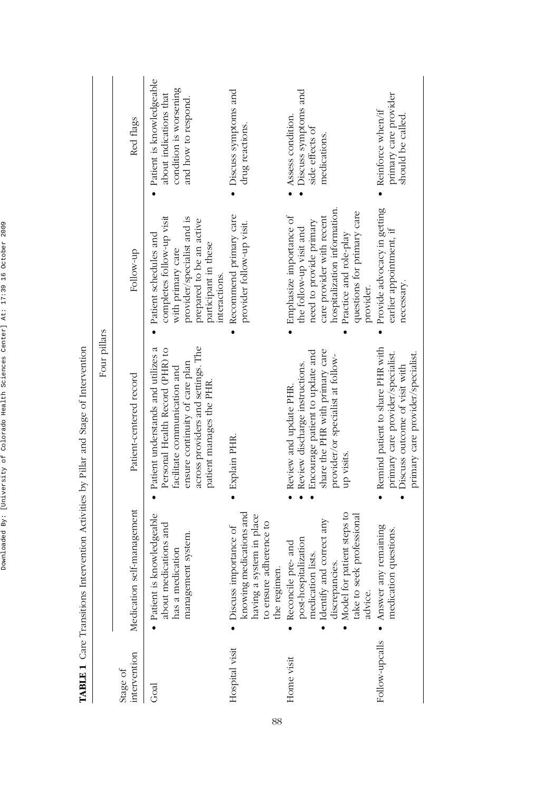|                          |                                                                                                                                                                                           | Four pillars                                                                                                                                                                                             |                                                                                                                                                                                                                 |                                                                                                     |
|--------------------------|-------------------------------------------------------------------------------------------------------------------------------------------------------------------------------------------|----------------------------------------------------------------------------------------------------------------------------------------------------------------------------------------------------------|-----------------------------------------------------------------------------------------------------------------------------------------------------------------------------------------------------------------|-----------------------------------------------------------------------------------------------------|
| intervention<br>Stage of | Medication self-management                                                                                                                                                                | Patient-centered record                                                                                                                                                                                  | Follow-up                                                                                                                                                                                                       | Red flags                                                                                           |
| Goal                     | Patient is knowledgeable<br>about medications and<br>management system.<br>has a medication                                                                                               | across providers and settings. The<br>Patient understands and utilizes a<br>Personal Health Record (PHR) to<br>ensure continuity of care plan<br>facilitate communication and<br>patient manages the PHR | completes follow-up visit<br>provider/specialist and is<br>prepared to be an active<br>Patient schedules and<br>participant in these<br>with primary care<br>interactions.                                      | Patient is knowledgeable<br>condition is worsening<br>about indications that<br>and how to respond. |
| Hospital visit           | knowing medications and<br>having a system in place<br>to ensure adherence to<br>Discuss importance of<br>the regimen.                                                                    | · Explain PHR.                                                                                                                                                                                           | Recommend primary care<br>provider follow-up visit.                                                                                                                                                             | Discuss symptoms and<br>drug reactions.                                                             |
| Home visit               | Model for patient steps to<br>professional<br>Identify and correct any<br>post-hospitalization<br>Reconcile pre- and<br>ists.<br>discrepancies<br>medication 1<br>take to seek<br>advice. | share the PHR with primary care<br>Encourage patient to update and<br>provider/or specialist at follow-<br>Review discharge instructions.<br>Review and update PHR<br>up visits.                         | hospitalization information.<br>questions for primary care<br>Emphasize importance of<br>care provider with recent<br>need to provide primary<br>the follow-up visit and<br>Practice and role-play<br>provider. | Discuss symptoms and<br>Assess condition.<br>side effects of<br>medications.                        |
| Follow-upcalls           | • Answer any remaining<br>medication questions.                                                                                                                                           | Remind patient to share PHR with<br>primary care provider/specialist.<br>primary care provider/specialist.<br>Discuss outcome of visit with                                                              | Provide advocacy in getting<br>earlier appointment, if<br>necessary                                                                                                                                             | primary care provider<br>• Reinforce when/if<br>should be called.                                   |

TABLE 1 Care Transitions Intervention Activities by Pillar and Stage of Intervention **TABLE 1** Care Transitions Intervention Activities by Pillar and Stage of Intervention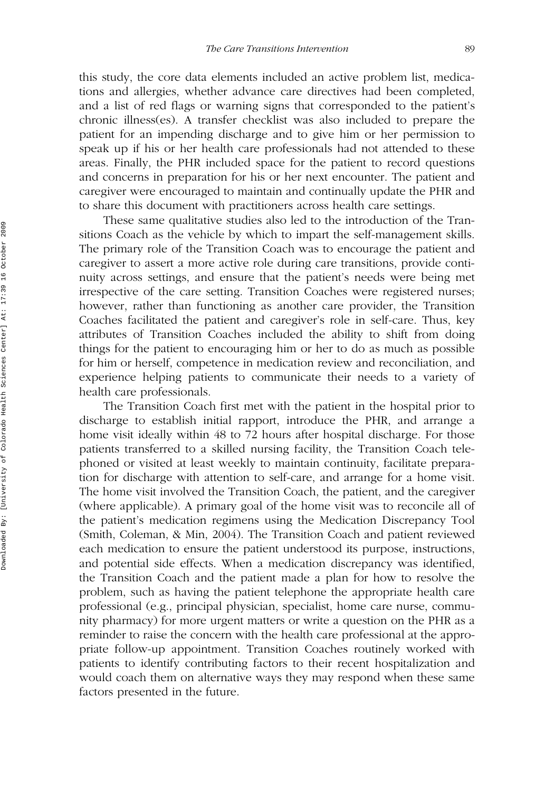this study, the core data elements included an active problem list, medications and allergies, whether advance care directives had been completed, and a list of red flags or warning signs that corresponded to the patient's chronic illness(es). A transfer checklist was also included to prepare the patient for an impending discharge and to give him or her permission to speak up if his or her health care professionals had not attended to these areas. Finally, the PHR included space for the patient to record questions and concerns in preparation for his or her next encounter. The patient and caregiver were encouraged to maintain and continually update the PHR and to share this document with practitioners across health care settings.

These same qualitative studies also led to the introduction of the Transitions Coach as the vehicle by which to impart the self-management skills. The primary role of the Transition Coach was to encourage the patient and caregiver to assert a more active role during care transitions, provide continuity across settings, and ensure that the patient's needs were being met irrespective of the care setting. Transition Coaches were registered nurses; however, rather than functioning as another care provider, the Transition Coaches facilitated the patient and caregiver's role in self-care. Thus, key attributes of Transition Coaches included the ability to shift from doing things for the patient to encouraging him or her to do as much as possible for him or herself, competence in medication review and reconciliation, and experience helping patients to communicate their needs to a variety of health care professionals.

The Transition Coach first met with the patient in the hospital prior to discharge to establish initial rapport, introduce the PHR, and arrange a home visit ideally within 48 to 72 hours after hospital discharge. For those patients transferred to a skilled nursing facility, the Transition Coach telephoned or visited at least weekly to maintain continuity, facilitate preparation for discharge with attention to self-care, and arrange for a home visit. The home visit involved the Transition Coach, the patient, and the caregiver (where applicable). A primary goal of the home visit was to reconcile all of the patient's medication regimens using the Medication Discrepancy Tool (Smith, Coleman, & Min, 2004). The Transition Coach and patient reviewed each medication to ensure the patient understood its purpose, instructions, and potential side effects. When a medication discrepancy was identified, the Transition Coach and the patient made a plan for how to resolve the problem, such as having the patient telephone the appropriate health care professional (e.g., principal physician, specialist, home care nurse, community pharmacy) for more urgent matters or write a question on the PHR as a reminder to raise the concern with the health care professional at the appropriate follow-up appointment. Transition Coaches routinely worked with patients to identify contributing factors to their recent hospitalization and would coach them on alternative ways they may respond when these same factors presented in the future.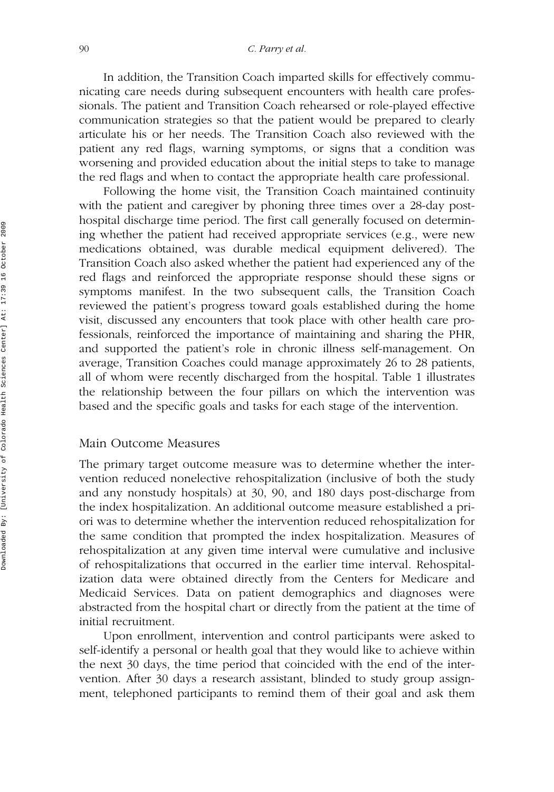In addition, the Transition Coach imparted skills for effectively communicating care needs during subsequent encounters with health care professionals. The patient and Transition Coach rehearsed or role-played effective communication strategies so that the patient would be prepared to clearly articulate his or her needs. The Transition Coach also reviewed with the patient any red flags, warning symptoms, or signs that a condition was worsening and provided education about the initial steps to take to manage the red flags and when to contact the appropriate health care professional.

Following the home visit, the Transition Coach maintained continuity with the patient and caregiver by phoning three times over a 28-day posthospital discharge time period. The first call generally focused on determining whether the patient had received appropriate services (e.g., were new medications obtained, was durable medical equipment delivered). The Transition Coach also asked whether the patient had experienced any of the red flags and reinforced the appropriate response should these signs or symptoms manifest. In the two subsequent calls, the Transition Coach reviewed the patient's progress toward goals established during the home visit, discussed any encounters that took place with other health care professionals, reinforced the importance of maintaining and sharing the PHR, and supported the patient's role in chronic illness self-management. On average, Transition Coaches could manage approximately 26 to 28 patients, all of whom were recently discharged from the hospital. Table 1 illustrates the relationship between the four pillars on which the intervention was based and the specific goals and tasks for each stage of the intervention.

#### Main Outcome Measures

The primary target outcome measure was to determine whether the intervention reduced nonelective rehospitalization (inclusive of both the study and any nonstudy hospitals) at 30, 90, and 180 days post-discharge from the index hospitalization. An additional outcome measure established a priori was to determine whether the intervention reduced rehospitalization for the same condition that prompted the index hospitalization. Measures of rehospitalization at any given time interval were cumulative and inclusive of rehospitalizations that occurred in the earlier time interval. Rehospitalization data were obtained directly from the Centers for Medicare and Medicaid Services. Data on patient demographics and diagnoses were abstracted from the hospital chart or directly from the patient at the time of initial recruitment.

Upon enrollment, intervention and control participants were asked to self-identify a personal or health goal that they would like to achieve within the next 30 days, the time period that coincided with the end of the intervention. After 30 days a research assistant, blinded to study group assignment, telephoned participants to remind them of their goal and ask them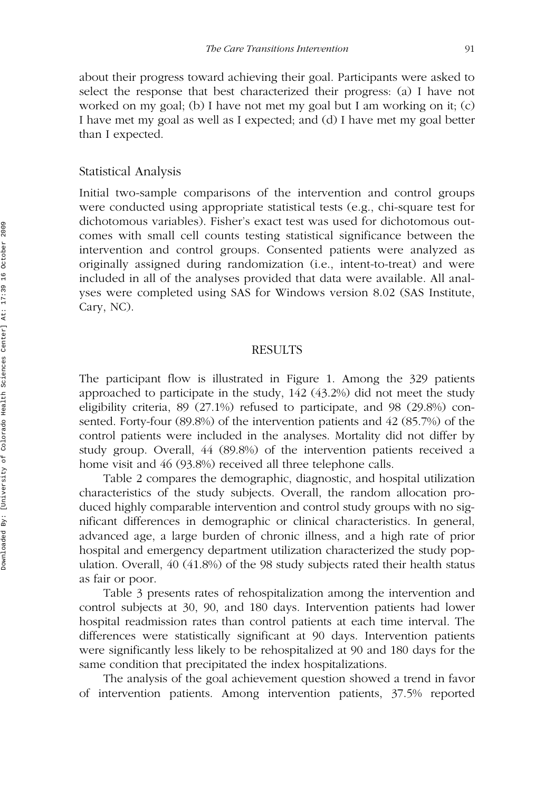about their progress toward achieving their goal. Participants were asked to select the response that best characterized their progress: (a) I have not worked on my goal; (b) I have not met my goal but I am working on it; (c) I have met my goal as well as I expected; and (d) I have met my goal better than I expected.

#### Statistical Analysis

Initial two-sample comparisons of the intervention and control groups were conducted using appropriate statistical tests (e.g., chi-square test for dichotomous variables). Fisher's exact test was used for dichotomous outcomes with small cell counts testing statistical significance between the intervention and control groups. Consented patients were analyzed as originally assigned during randomization (i.e., intent-to-treat) and were included in all of the analyses provided that data were available. All analyses were completed using SAS for Windows version 8.02 (SAS Institute, Cary, NC).

#### RESULTS

The participant flow is illustrated in Figure 1. Among the 329 patients approached to participate in the study, 142 (43.2%) did not meet the study eligibility criteria, 89 (27.1%) refused to participate, and 98 (29.8%) consented. Forty-four (89.8%) of the intervention patients and 42 (85.7%) of the control patients were included in the analyses. Mortality did not differ by study group. Overall, 44 (89.8%) of the intervention patients received a home visit and 46 (93.8%) received all three telephone calls.

Table 2 compares the demographic, diagnostic, and hospital utilization characteristics of the study subjects. Overall, the random allocation produced highly comparable intervention and control study groups with no significant differences in demographic or clinical characteristics. In general, advanced age, a large burden of chronic illness, and a high rate of prior hospital and emergency department utilization characterized the study population. Overall, 40 (41.8%) of the 98 study subjects rated their health status as fair or poor.

Table 3 presents rates of rehospitalization among the intervention and control subjects at 30, 90, and 180 days. Intervention patients had lower hospital readmission rates than control patients at each time interval. The differences were statistically significant at 90 days. Intervention patients were significantly less likely to be rehospitalized at 90 and 180 days for the same condition that precipitated the index hospitalizations.

The analysis of the goal achievement question showed a trend in favor of intervention patients. Among intervention patients, 37.5% reported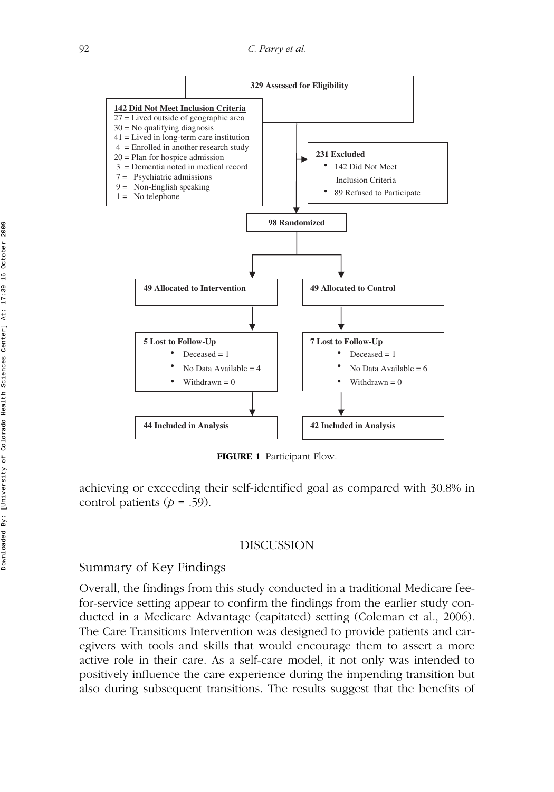

**FIGURE 1** Participant Flow.

achieving or exceeding their self-identified goal as compared with 30.8% in control patients ( $p = .59$ ).

#### DISCUSSION

# Summary of Key Findings

Overall, the findings from this study conducted in a traditional Medicare feefor-service setting appear to confirm the findings from the earlier study conducted in a Medicare Advantage (capitated) setting (Coleman et al., 2006). The Care Transitions Intervention was designed to provide patients and caregivers with tools and skills that would encourage them to assert a more active role in their care. As a self-care model, it not only was intended to positively influence the care experience during the impending transition but also during subsequent transitions. The results suggest that the benefits of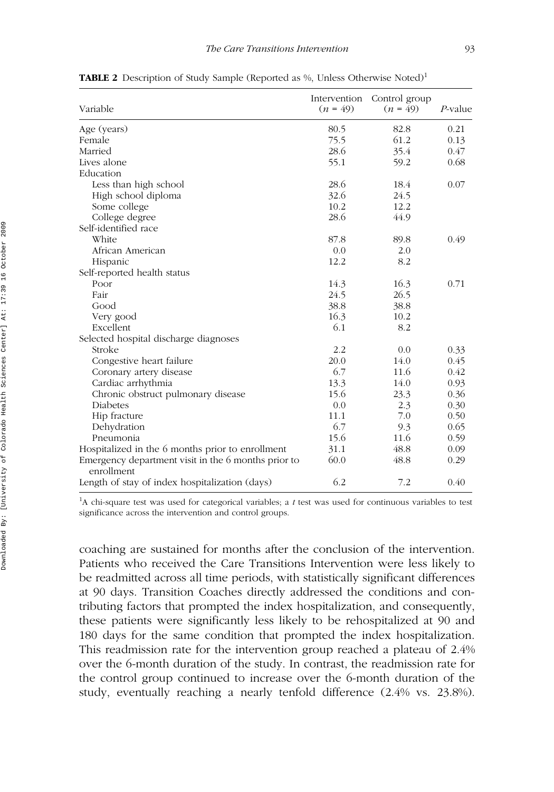| Variable                                                          | Intervention<br>$(n = 49)$ | Control group<br>$(n = 49)$ | $P$ -value |
|-------------------------------------------------------------------|----------------------------|-----------------------------|------------|
| Age (years)                                                       | 80.5                       | 82.8                        | 0.21       |
| Female                                                            | 75.5                       | 61.2                        | 0.13       |
| Married                                                           | 28.6                       | 35.4                        | 0.47       |
| Lives alone                                                       | 55.1                       | 59.2                        | 0.68       |
| Education                                                         |                            |                             |            |
| Less than high school                                             | 28.6                       | 18.4                        | 0.07       |
| High school diploma                                               | 32.6                       | 24.5                        |            |
| Some college                                                      | 10.2                       | 12.2                        |            |
| College degree                                                    | 28.6                       | 44.9                        |            |
| Self-identified race                                              |                            |                             |            |
| White                                                             | 87.8                       | 89.8                        | 0.49       |
| African American                                                  | 0.0                        | 2.0                         |            |
| Hispanic                                                          | 12.2                       | 8.2                         |            |
| Self-reported health status                                       |                            |                             |            |
| Poor                                                              | 14.3                       | 16.3                        | 0.71       |
| Fair                                                              | 24.5                       | 26.5                        |            |
| Good                                                              | 38.8                       | 38.8                        |            |
| Very good                                                         | 16.3                       | 10.2                        |            |
| Excellent                                                         | 6.1                        | 8.2                         |            |
| Selected hospital discharge diagnoses                             |                            |                             |            |
| Stroke                                                            | 2.2                        | 0.0                         | 0.33       |
| Congestive heart failure                                          | 20.0                       | 14.0                        | 0.45       |
| Coronary artery disease                                           | 6.7                        | 11.6                        | 0.42       |
| Cardiac arrhythmia                                                | 13.3                       | 14.0                        | 0.93       |
| Chronic obstruct pulmonary disease                                | 15.6                       | 23.3                        | 0.36       |
| Diabetes                                                          | 0.0                        | 2.3                         | 0.30       |
| Hip fracture                                                      | 11.1                       | 7.0                         | 0.50       |
| Dehydration                                                       | 6.7                        | 9.3                         | 0.65       |
| Pneumonia                                                         | 15.6                       | 11.6                        | 0.59       |
| Hospitalized in the 6 months prior to enrollment                  | 31.1                       | 48.8                        | 0.09       |
| Emergency department visit in the 6 months prior to<br>enrollment | 60.0                       | 48.8                        | 0.29       |
| Length of stay of index hospitalization (days)                    | 6.2                        | 7.2                         | 0.40       |

**TABLE 2** Description of Study Sample (Reported as %, Unless Otherwise Noted)<sup>1</sup>

<sup>1</sup>A chi-square test was used for categorical variables; a *t* test was used for continuous variables to test significance across the intervention and control groups.

coaching are sustained for months after the conclusion of the intervention. Patients who received the Care Transitions Intervention were less likely to be readmitted across all time periods, with statistically significant differences at 90 days. Transition Coaches directly addressed the conditions and contributing factors that prompted the index hospitalization, and consequently, these patients were significantly less likely to be rehospitalized at 90 and 180 days for the same condition that prompted the index hospitalization. This readmission rate for the intervention group reached a plateau of 2.4% over the 6-month duration of the study. In contrast, the readmission rate for the control group continued to increase over the 6-month duration of the study, eventually reaching a nearly tenfold difference (2.4% vs. 23.8%).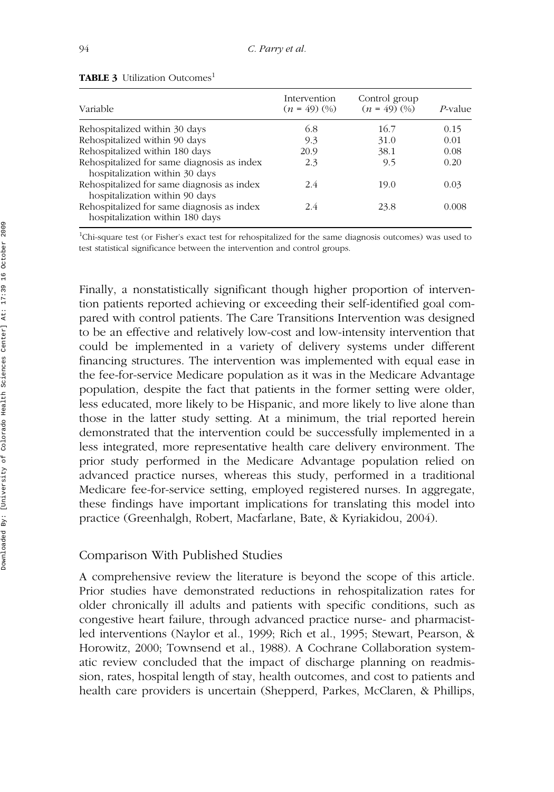| Variable                                                                      | Intervention<br>$(n = 49)$ $(%)$ | Control group<br>$(n = 49)$ $(%)$ | P-value |
|-------------------------------------------------------------------------------|----------------------------------|-----------------------------------|---------|
| Rehospitalized within 30 days                                                 | 6.8                              | 16.7                              | 0.15    |
| Rehospitalized within 90 days                                                 | 9.3                              | 31.0                              | 0.01    |
| Rehospitalized within 180 days                                                | 20.9                             | 38.1                              | 0.08    |
| Rehospitalized for same diagnosis as index<br>hospitalization within 30 days  | 2.3                              | 9.5                               | 0.20    |
| Rehospitalized for same diagnosis as index<br>hospitalization within 90 days  | 2.4                              | 19.0                              | 0.03    |
| Rehospitalized for same diagnosis as index<br>hospitalization within 180 days | 2.4                              | 23.8                              | 0.008   |

|  |  | <b>TABLE 3</b> Utilization Outcomes <sup>1</sup> |
|--|--|--------------------------------------------------|
|--|--|--------------------------------------------------|

<sup>1</sup>Chi-square test (or Fisher's exact test for rehospitalized for the same diagnosis outcomes) was used to test statistical significance between the intervention and control groups.

Finally, a nonstatistically significant though higher proportion of intervention patients reported achieving or exceeding their self-identified goal compared with control patients. The Care Transitions Intervention was designed to be an effective and relatively low-cost and low-intensity intervention that could be implemented in a variety of delivery systems under different financing structures. The intervention was implemented with equal ease in the fee-for-service Medicare population as it was in the Medicare Advantage population, despite the fact that patients in the former setting were older, less educated, more likely to be Hispanic, and more likely to live alone than those in the latter study setting. At a minimum, the trial reported herein demonstrated that the intervention could be successfully implemented in a less integrated, more representative health care delivery environment. The prior study performed in the Medicare Advantage population relied on advanced practice nurses, whereas this study, performed in a traditional Medicare fee-for-service setting, employed registered nurses. In aggregate, these findings have important implications for translating this model into practice (Greenhalgh, Robert, Macfarlane, Bate, & Kyriakidou, 2004).

#### Comparison With Published Studies

A comprehensive review the literature is beyond the scope of this article. Prior studies have demonstrated reductions in rehospitalization rates for older chronically ill adults and patients with specific conditions, such as congestive heart failure, through advanced practice nurse- and pharmacistled interventions (Naylor et al., 1999; Rich et al., 1995; Stewart, Pearson, & Horowitz, 2000; Townsend et al., 1988). A Cochrane Collaboration systematic review concluded that the impact of discharge planning on readmission, rates, hospital length of stay, health outcomes, and cost to patients and health care providers is uncertain (Shepperd, Parkes, McClaren, & Phillips,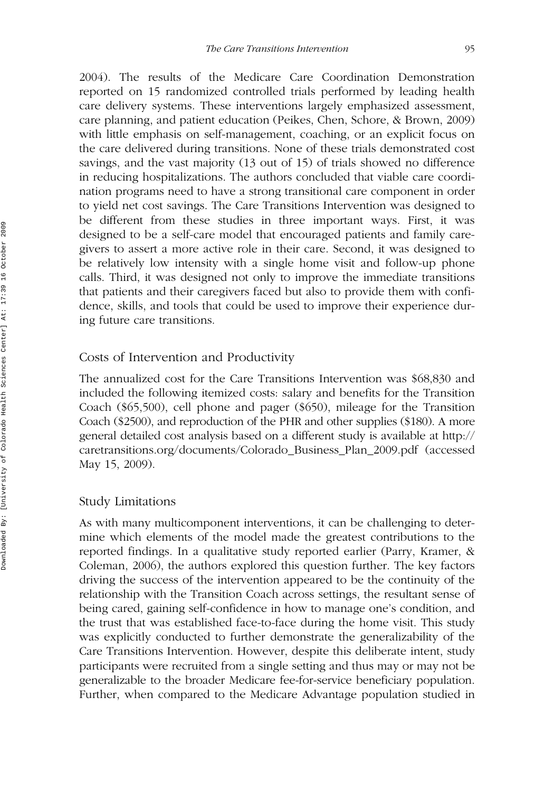2004). The results of the Medicare Care Coordination Demonstration reported on 15 randomized controlled trials performed by leading health care delivery systems. These interventions largely emphasized assessment, care planning, and patient education (Peikes, Chen, Schore, & Brown, 2009) with little emphasis on self-management, coaching, or an explicit focus on the care delivered during transitions. None of these trials demonstrated cost savings, and the vast majority (13 out of 15) of trials showed no difference in reducing hospitalizations. The authors concluded that viable care coordination programs need to have a strong transitional care component in order to yield net cost savings. The Care Transitions Intervention was designed to be different from these studies in three important ways. First, it was designed to be a self-care model that encouraged patients and family caregivers to assert a more active role in their care. Second, it was designed to be relatively low intensity with a single home visit and follow-up phone calls. Third, it was designed not only to improve the immediate transitions that patients and their caregivers faced but also to provide them with confidence, skills, and tools that could be used to improve their experience during future care transitions.

#### Costs of Intervention and Productivity

The annualized cost for the Care Transitions Intervention was \$68,830 and included the following itemized costs: salary and benefits for the Transition Coach (\$65,500), cell phone and pager (\$650), mileage for the Transition Coach (\$2500), and reproduction of the PHR and other supplies (\$180). A more general detailed cost analysis based on a different study is available at http:// caretransitions.org/documents/Colorado\_Business\_Plan\_2009.pdf (accessed May 15, 2009).

#### Study Limitations

As with many multicomponent interventions, it can be challenging to determine which elements of the model made the greatest contributions to the reported findings. In a qualitative study reported earlier (Parry, Kramer, & Coleman, 2006), the authors explored this question further. The key factors driving the success of the intervention appeared to be the continuity of the relationship with the Transition Coach across settings, the resultant sense of being cared, gaining self-confidence in how to manage one's condition, and the trust that was established face-to-face during the home visit. This study was explicitly conducted to further demonstrate the generalizability of the Care Transitions Intervention. However, despite this deliberate intent, study participants were recruited from a single setting and thus may or may not be generalizable to the broader Medicare fee-for-service beneficiary population. Further, when compared to the Medicare Advantage population studied in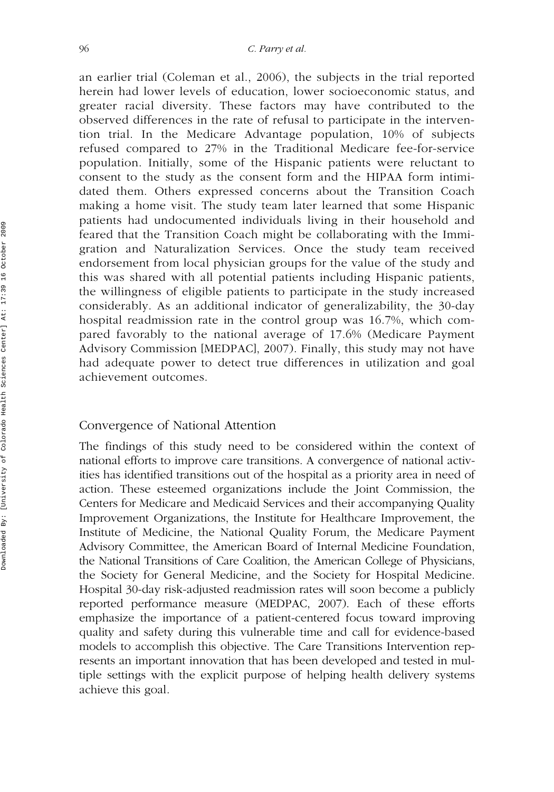an earlier trial (Coleman et al., 2006), the subjects in the trial reported herein had lower levels of education, lower socioeconomic status, and greater racial diversity. These factors may have contributed to the observed differences in the rate of refusal to participate in the intervention trial. In the Medicare Advantage population, 10% of subjects refused compared to 27% in the Traditional Medicare fee-for-service population. Initially, some of the Hispanic patients were reluctant to consent to the study as the consent form and the HIPAA form intimidated them. Others expressed concerns about the Transition Coach making a home visit. The study team later learned that some Hispanic patients had undocumented individuals living in their household and feared that the Transition Coach might be collaborating with the Immigration and Naturalization Services. Once the study team received endorsement from local physician groups for the value of the study and this was shared with all potential patients including Hispanic patients, the willingness of eligible patients to participate in the study increased considerably. As an additional indicator of generalizability, the 30-day hospital readmission rate in the control group was 16.7%, which compared favorably to the national average of 17.6% (Medicare Payment Advisory Commission [MEDPAC], 2007). Finally, this study may not have had adequate power to detect true differences in utilization and goal achievement outcomes.

#### Convergence of National Attention

The findings of this study need to be considered within the context of national efforts to improve care transitions. A convergence of national activities has identified transitions out of the hospital as a priority area in need of action. These esteemed organizations include the Joint Commission, the Centers for Medicare and Medicaid Services and their accompanying Quality Improvement Organizations, the Institute for Healthcare Improvement, the Institute of Medicine, the National Quality Forum, the Medicare Payment Advisory Committee, the American Board of Internal Medicine Foundation, the National Transitions of Care Coalition, the American College of Physicians, the Society for General Medicine, and the Society for Hospital Medicine. Hospital 30-day risk-adjusted readmission rates will soon become a publicly reported performance measure (MEDPAC, 2007). Each of these efforts emphasize the importance of a patient-centered focus toward improving quality and safety during this vulnerable time and call for evidence-based models to accomplish this objective. The Care Transitions Intervention represents an important innovation that has been developed and tested in multiple settings with the explicit purpose of helping health delivery systems achieve this goal.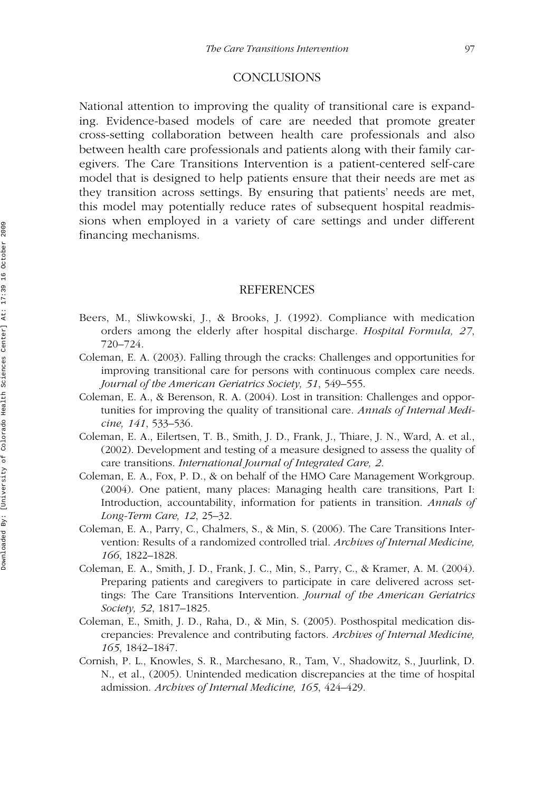#### **CONCLUSIONS**

National attention to improving the quality of transitional care is expanding. Evidence-based models of care are needed that promote greater cross-setting collaboration between health care professionals and also between health care professionals and patients along with their family caregivers. The Care Transitions Intervention is a patient-centered self-care model that is designed to help patients ensure that their needs are met as they transition across settings. By ensuring that patients' needs are met, this model may potentially reduce rates of subsequent hospital readmissions when employed in a variety of care settings and under different financing mechanisms.

#### REFERENCES

- Beers, M., Sliwkowski, J., & Brooks, J. (1992). Compliance with medication orders among the elderly after hospital discharge. *Hospital Formula, 27*, 720–724.
- Coleman, E. A. (2003). Falling through the cracks: Challenges and opportunities for improving transitional care for persons with continuous complex care needs. *Journal of the American Geriatrics Society, 51*, 549–555.
- Coleman, E. A., & Berenson, R. A. (2004). Lost in transition: Challenges and opportunities for improving the quality of transitional care. *Annals of Internal Medicine, 141*, 533–536.
- Coleman, E. A., Eilertsen, T. B., Smith, J. D., Frank, J., Thiare, J. N., Ward, A. et al., (2002). Development and testing of a measure designed to assess the quality of care transitions. *International Journal of Integrated Care, 2*.
- Coleman, E. A., Fox, P. D., & on behalf of the HMO Care Management Workgroup. (2004). One patient, many places: Managing health care transitions, Part I: Introduction, accountability, information for patients in transition. *Annals of Long-Term Care, 12*, 25–32.
- Coleman, E. A., Parry, C., Chalmers, S., & Min, S. (2006). The Care Transitions Intervention: Results of a randomized controlled trial. *Archives of Internal Medicine, 166*, 1822–1828.
- Coleman, E. A., Smith, J. D., Frank, J. C., Min, S., Parry, C., & Kramer, A. M. (2004). Preparing patients and caregivers to participate in care delivered across settings: The Care Transitions Intervention. *Journal of the American Geriatrics Society, 52*, 1817–1825.
- Coleman, E., Smith, J. D., Raha, D., & Min, S. (2005). Posthospital medication discrepancies: Prevalence and contributing factors. *Archives of Internal Medicine, 165*, 1842–1847.
- Cornish, P. L., Knowles, S. R., Marchesano, R., Tam, V., Shadowitz, S., Juurlink, D. N., et al., (2005). Unintended medication discrepancies at the time of hospital admission. *Archives of Internal Medicine, 165*, 424–429.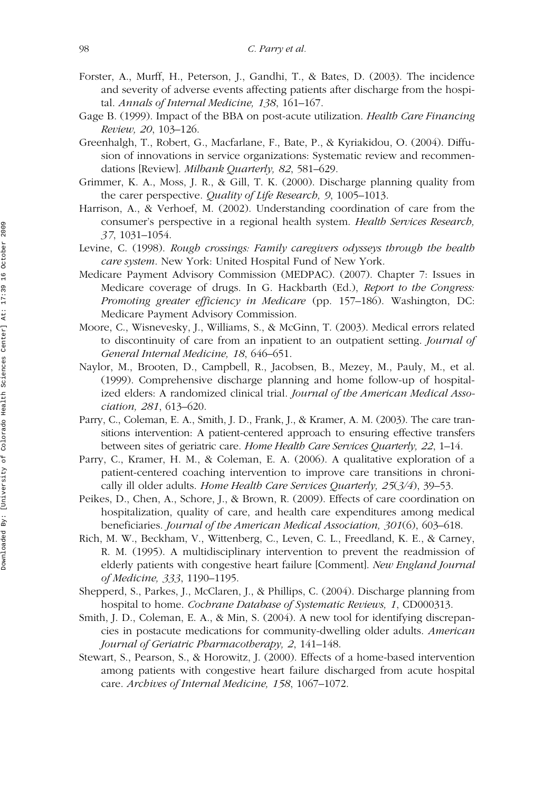- Forster, A., Murff, H., Peterson, J., Gandhi, T., & Bates, D. (2003). The incidence and severity of adverse events affecting patients after discharge from the hospital. *Annals of Internal Medicine, 138*, 161–167.
- Gage B. (1999). Impact of the BBA on post-acute utilization. *Health Care Financing Review, 20*, 103–126.
- Greenhalgh, T., Robert, G., Macfarlane, F., Bate, P., & Kyriakidou, O. (2004). Diffusion of innovations in service organizations: Systematic review and recommendations [Review]. *Milbank Quarterly, 82*, 581–629.
- Grimmer, K. A., Moss, J. R., & Gill, T. K. (2000). Discharge planning quality from the carer perspective. *Quality of Life Research, 9*, 1005–1013.
- Harrison, A., & Verhoef, M. (2002). Understanding coordination of care from the consumer's perspective in a regional health system. *Health Services Research, 37*, 1031–1054.
- Levine, C. (1998). *Rough crossings: Family caregivers odysseys through the health care system*. New York: United Hospital Fund of New York.
- Medicare Payment Advisory Commission (MEDPAC). (2007). Chapter 7: Issues in Medicare coverage of drugs. In G. Hackbarth (Ed.), *Report to the Congress: Promoting greater efficiency in Medicare* (pp. 157–186). Washington, DC: Medicare Payment Advisory Commission.
- Moore, C., Wisnevesky, J., Williams, S., & McGinn, T. (2003). Medical errors related to discontinuity of care from an inpatient to an outpatient setting. *Journal of General Internal Medicine, 18*, 646–651.
- Naylor, M., Brooten, D., Campbell, R., Jacobsen, B., Mezey, M., Pauly, M., et al. (1999). Comprehensive discharge planning and home follow-up of hospitalized elders: A randomized clinical trial. *Journal of the American Medical Association, 281*, 613–620.
- Parry, C., Coleman, E. A., Smith, J. D., Frank, J., & Kramer, A. M. (2003). The care transitions intervention: A patient-centered approach to ensuring effective transfers between sites of geriatric care. *Home Health Care Services Quarterly, 22*, 1–14.
- Parry, C., Kramer, H. M., & Coleman, E. A. (2006). A qualitative exploration of a patient-centered coaching intervention to improve care transitions in chronically ill older adults. *Home Health Care Services Quarterly, 25*(*3/4*), 39–53.
- Peikes, D., Chen, A., Schore, J., & Brown, R. (2009). Effects of care coordination on hospitalization, quality of care, and health care expenditures among medical beneficiaries. *Journal of the American Medical Association, 301*(6), 603–618.
- Rich, M. W., Beckham, V., Wittenberg, C., Leven, C. L., Freedland, K. E., & Carney, R. M. (1995). A multidisciplinary intervention to prevent the readmission of elderly patients with congestive heart failure [Comment]. *New England Journal of Medicine, 333*, 1190–1195.
- Shepperd, S., Parkes, J., McClaren, J., & Phillips, C. (2004). Discharge planning from hospital to home. *Cochrane Database of Systematic Reviews, 1*, CD000313.
- Smith, J. D., Coleman, E. A., & Min, S. (2004). A new tool for identifying discrepancies in postacute medications for community-dwelling older adults. *American Journal of Geriatric Pharmacotherapy, 2*, 141–148.
- Stewart, S., Pearson, S., & Horowitz, J. (2000). Effects of a home-based intervention among patients with congestive heart failure discharged from acute hospital care. *Archives of Internal Medicine, 158*, 1067–1072.